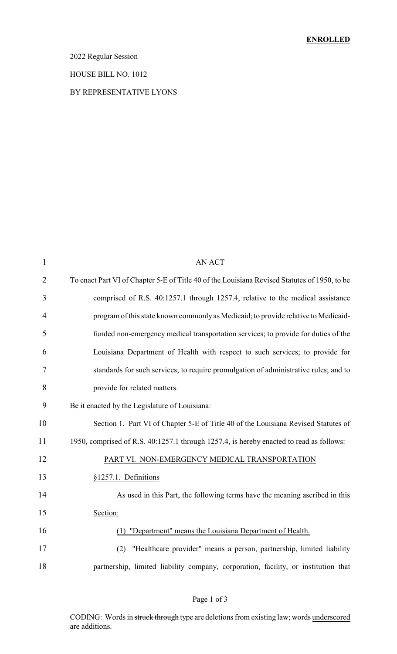### 2022 Regular Session

#### HOUSE BILL NO. 1012

### BY REPRESENTATIVE LYONS

| 1              | <b>AN ACT</b>                                                                                |
|----------------|----------------------------------------------------------------------------------------------|
| $\overline{2}$ | To enact Part VI of Chapter 5-E of Title 40 of the Louisiana Revised Statutes of 1950, to be |
| 3              | comprised of R.S. 40:1257.1 through 1257.4, relative to the medical assistance               |
| $\overline{4}$ | program of this state known commonly as Medicaid; to provide relative to Medicaid-           |
| 5              | funded non-emergency medical transportation services; to provide for duties of the           |
| 6              | Louisiana Department of Health with respect to such services; to provide for                 |
| 7              | standards for such services; to require promulgation of administrative rules; and to         |
| 8              | provide for related matters.                                                                 |
| 9              | Be it enacted by the Legislature of Louisiana:                                               |
| 10             | Section 1. Part VI of Chapter 5-E of Title 40 of the Louisiana Revised Statutes of           |
| 11             | 1950, comprised of R.S. 40:1257.1 through 1257.4, is hereby enacted to read as follows:      |
| 12             | PART VI. NON-EMERGENCY MEDICAL TRANSPORTATION                                                |
| 13             | §1257.1. Definitions                                                                         |
| 14             | As used in this Part, the following terms have the meaning ascribed in this                  |
| 15             | Section:                                                                                     |
| 16             | "Department" means the Louisiana Department of Health.<br>(1)                                |
| 17             | "Healthcare provider" means a person, partnership, limited liability<br>(2)                  |
| 18             | partnership, limited liability company, corporation, facility, or institution that           |

# Page 1 of 3

CODING: Words in struck through type are deletions from existing law; words underscored are additions.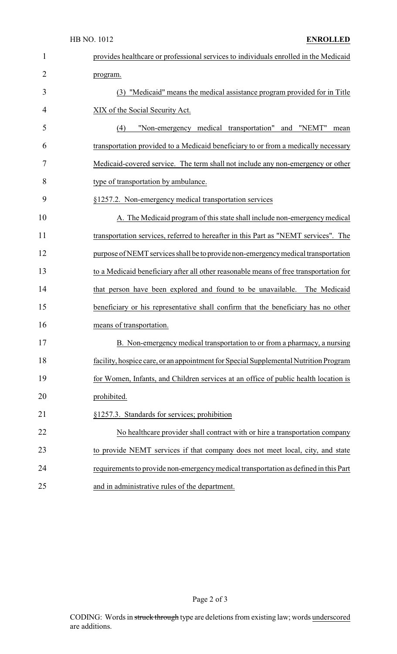| 1              | provides healthcare or professional services to individuals enrolled in the Medicaid  |
|----------------|---------------------------------------------------------------------------------------|
| $\overline{2}$ | program.                                                                              |
| 3              | (3) "Medicaid" means the medical assistance program provided for in Title             |
| 4              | XIX of the Social Security Act.                                                       |
| 5              | "Non-emergency medical transportation" and "NEMT"<br>(4)<br>mean                      |
| 6              | transportation provided to a Medicaid beneficiary to or from a medically necessary    |
| 7              | Medicaid-covered service. The term shall not include any non-emergency or other       |
| 8              | type of transportation by ambulance.                                                  |
| 9              | §1257.2. Non-emergency medical transportation services                                |
| 10             | A. The Medicaid program of this state shall include non-emergency medical             |
| 11             | transportation services, referred to hereafter in this Part as "NEMT services". The   |
| 12             | purpose of NEMT services shall be to provide non-emergency medical transportation     |
| 13             | to a Medicaid beneficiary after all other reasonable means of free transportation for |
| 14             | that person have been explored and found to be unavailable. The Medicaid              |
| 15             | beneficiary or his representative shall confirm that the beneficiary has no other     |
| 16             | means of transportation.                                                              |
| 17             | B. Non-emergency medical transportation to or from a pharmacy, a nursing              |
| 18             | facility, hospice care, or an appointment for Special Supplemental Nutrition Program  |
| 19             | for Women, Infants, and Children services at an office of public health location is   |
| 20             | prohibited.                                                                           |
| 21             | §1257.3. Standards for services; prohibition                                          |
| 22             | No healthcare provider shall contract with or hire a transportation company           |
| 23             | to provide NEMT services if that company does not meet local, city, and state         |
| 24             | requirements to provide non-emergency medical transportation as defined in this Part  |
| 25             | and in administrative rules of the department.                                        |